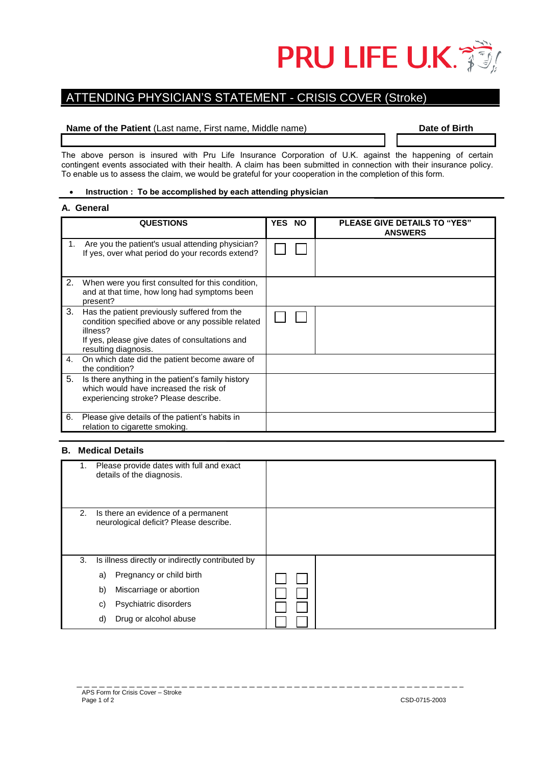

# ATTENDING PHYSICIAN'S STATEMENT - CRISIS COVER (Stroke)

### **Name of the Patient (Last name, First name, Middle name) <b>Date of Birth Date of Birth**

The above person is insured with Pru Life Insurance Corporation of U.K. against the happening of certain contingent events associated with their health. A claim has been submitted in connection with their insurance policy. To enable us to assess the claim, we would be grateful for your cooperation in the completion of this form.

## **Instruction : To be accomplished by each attending physician**

### **A. General**

|    | <b>QUESTIONS</b>                                                                                                                                                                        | YES NO | <b>PLEASE GIVE DETAILS TO "YES"</b><br><b>ANSWERS</b> |
|----|-----------------------------------------------------------------------------------------------------------------------------------------------------------------------------------------|--------|-------------------------------------------------------|
| 1. | Are you the patient's usual attending physician?<br>If yes, over what period do your records extend?                                                                                    |        |                                                       |
| 2. | When were you first consulted for this condition,<br>and at that time, how long had symptoms been<br>present?                                                                           |        |                                                       |
| 3. | Has the patient previously suffered from the<br>condition specified above or any possible related<br>illness?<br>If yes, please give dates of consultations and<br>resulting diagnosis. |        |                                                       |
| 4. | On which date did the patient become aware of<br>the condition?                                                                                                                         |        |                                                       |
| 5. | Is there anything in the patient's family history<br>which would have increased the risk of<br>experiencing stroke? Please describe.                                                    |        |                                                       |
| 6. | Please give details of the patient's habits in<br>relation to cigarette smoking.                                                                                                        |        |                                                       |

### **B. Medical Details**

| 1. | Please provide dates with full and exact<br>details of the diagnosis.         |  |
|----|-------------------------------------------------------------------------------|--|
| 2. | Is there an evidence of a permanent<br>neurological deficit? Please describe. |  |
| 3. | Is illness directly or indirectly contributed by                              |  |
|    | Pregnancy or child birth<br>a)                                                |  |
|    | Miscarriage or abortion<br>b)                                                 |  |
|    | Psychiatric disorders<br>C)                                                   |  |
|    | Drug or alcohol abuse<br>d)                                                   |  |